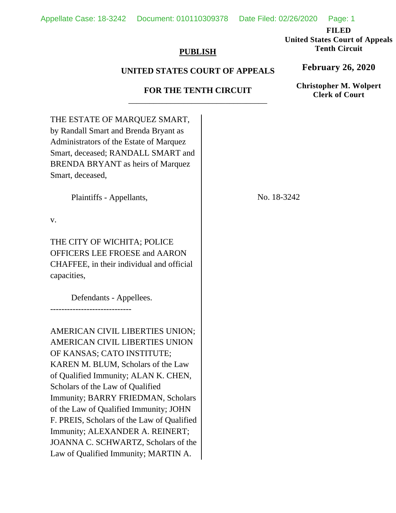Appellate Case: 18-3242 Document: 010110309378 Date Filed: 02/26/2020 Page: 1

**FILED** 

**United States Court of Appeals Tenth Circuit** 

## **PUBLISH**

## **UNITED STATES COURT OF APPEALS**

## **FOR THE TENTH CIRCUIT**  \_\_\_\_\_\_\_\_\_\_\_\_\_\_\_\_\_\_\_\_\_\_\_\_\_\_\_\_\_\_\_\_\_

THE ESTATE OF MARQUEZ SMART, by Randall Smart and Brenda Bryant as Administrators of the Estate of Marquez Smart, deceased; RANDALL SMART and BRENDA BRYANT as heirs of Marquez Smart, deceased, Plaintiffs - Appellants, v. THE CITY OF WICHITA; POLICE OFFICERS LEE FROESE and AARON CHAFFEE, in their individual and official capacities, Defendants - Appellees. ----------------------------- AMERICAN CIVIL LIBERTIES UNION; AMERICAN CIVIL LIBERTIES UNION OF KANSAS; CATO INSTITUTE; KAREN M. BLUM, Scholars of the Law of Qualified Immunity; ALAN K. CHEN, Scholars of the Law of Qualified Immunity; BARRY FRIEDMAN, Scholars of the Law of Qualified Immunity; JOHN F. PREIS, Scholars of the Law of Qualified Immunity; ALEXANDER A. REINERT; JOANNA C. SCHWARTZ, Scholars of the Law of Qualified Immunity; MARTIN A. No. 18-3242

**February 26, 2020**

**Christopher M. Wolpert Clerk of Court**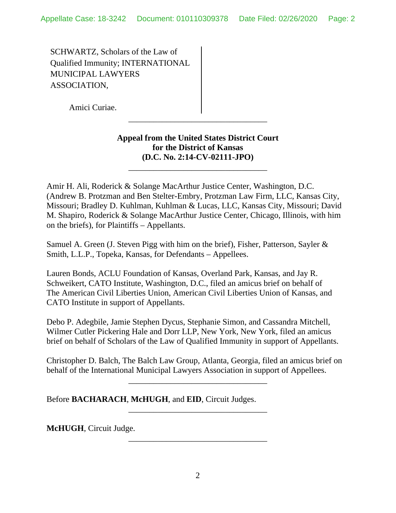SCHWARTZ, Scholars of the Law of Qualified Immunity; INTERNATIONAL MUNICIPAL LAWYERS ASSOCIATION,

Amici Curiae.

## **Appeal from the United States District Court for the District of Kansas (D.C. No. 2:14-CV-02111-JPO)**

\_\_\_\_\_\_\_\_\_\_\_\_\_\_\_\_\_\_\_\_\_\_\_\_\_\_\_\_\_\_\_\_\_

\_\_\_\_\_\_\_\_\_\_\_\_\_\_\_\_\_\_\_\_\_\_\_\_\_\_\_\_\_\_\_\_\_

Amir H. Ali, Roderick & Solange MacArthur Justice Center, Washington, D.C. (Andrew B. Protzman and Ben Stelter-Embry, Protzman Law Firm, LLC, Kansas City, Missouri; Bradley D. Kuhlman, Kuhlman & Lucas, LLC, Kansas City, Missouri; David M. Shapiro, Roderick & Solange MacArthur Justice Center, Chicago, Illinois, with him on the briefs), for Plaintiffs – Appellants.

Samuel A. Green (J. Steven Pigg with him on the brief), Fisher, Patterson, Sayler & Smith, L.L.P., Topeka, Kansas, for Defendants – Appellees.

Lauren Bonds, ACLU Foundation of Kansas, Overland Park, Kansas, and Jay R. Schweikert, CATO Institute, Washington, D.C., filed an amicus brief on behalf of The American Civil Liberties Union, American Civil Liberties Union of Kansas, and CATO Institute in support of Appellants.

Debo P. Adegbile, Jamie Stephen Dycus, Stephanie Simon, and Cassandra Mitchell, Wilmer Cutler Pickering Hale and Dorr LLP, New York, New York, filed an amicus brief on behalf of Scholars of the Law of Qualified Immunity in support of Appellants.

Christopher D. Balch, The Balch Law Group, Atlanta, Georgia, filed an amicus brief on behalf of the International Municipal Lawyers Association in support of Appellees.

\_\_\_\_\_\_\_\_\_\_\_\_\_\_\_\_\_\_\_\_\_\_\_\_\_\_\_\_\_\_\_\_\_

\_\_\_\_\_\_\_\_\_\_\_\_\_\_\_\_\_\_\_\_\_\_\_\_\_\_\_\_\_\_\_\_\_

\_\_\_\_\_\_\_\_\_\_\_\_\_\_\_\_\_\_\_\_\_\_\_\_\_\_\_\_\_\_\_\_\_

Before **BACHARACH**, **McHUGH**, and **EID**, Circuit Judges.

**McHUGH**, Circuit Judge.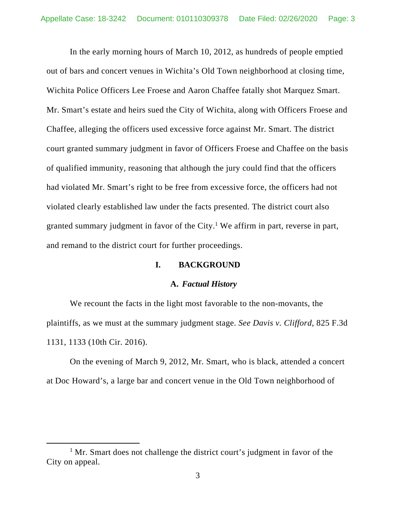In the early morning hours of March 10, 2012, as hundreds of people emptied out of bars and concert venues in Wichita's Old Town neighborhood at closing time, Wichita Police Officers Lee Froese and Aaron Chaffee fatally shot Marquez Smart. Mr. Smart's estate and heirs sued the City of Wichita, along with Officers Froese and Chaffee, alleging the officers used excessive force against Mr. Smart. The district court granted summary judgment in favor of Officers Froese and Chaffee on the basis of qualified immunity, reasoning that although the jury could find that the officers had violated Mr. Smart's right to be free from excessive force, the officers had not violated clearly established law under the facts presented. The district court also granted summary judgment in favor of the City.<sup>1</sup> We affirm in part, reverse in part, and remand to the district court for further proceedings.

### **I. BACKGROUND**

### **A.** *Factual History*

We recount the facts in the light most favorable to the non-movants, the plaintiffs, as we must at the summary judgment stage. *See Davis v. Clifford*, 825 F.3d 1131, 1133 (10th Cir. 2016).

On the evening of March 9, 2012, Mr. Smart, who is black, attended a concert at Doc Howard's, a large bar and concert venue in the Old Town neighborhood of

<sup>&</sup>lt;u>1</u>  $1$  Mr. Smart does not challenge the district court's judgment in favor of the City on appeal.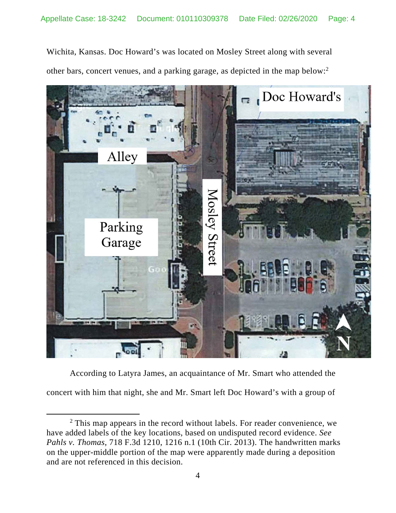Wichita, Kansas. Doc Howard's was located on Mosley Street along with several other bars, concert venues, and a parking garage, as depicted in the map below:2



According to Latyra James, an acquaintance of Mr. Smart who attended the concert with him that night, she and Mr. Smart left Doc Howard's with a group of

 $\overline{\phantom{a}}$  2 <sup>2</sup> This map appears in the record without labels. For reader convenience, we have added labels of the key locations, based on undisputed record evidence. *See Pahls v. Thomas*, 718 F.3d 1210, 1216 n.1 (10th Cir. 2013). The handwritten marks on the upper-middle portion of the map were apparently made during a deposition and are not referenced in this decision.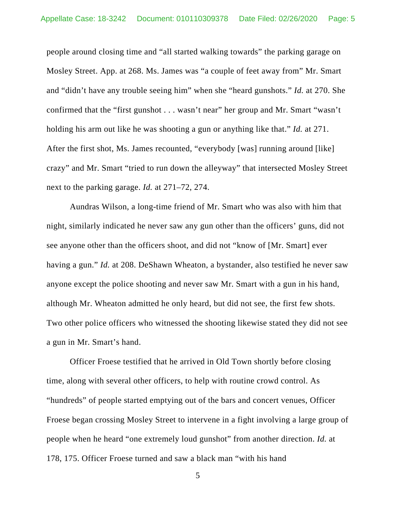people around closing time and "all started walking towards" the parking garage on Mosley Street. App. at 268. Ms. James was "a couple of feet away from" Mr. Smart and "didn't have any trouble seeing him" when she "heard gunshots." *Id.* at 270. She confirmed that the "first gunshot . . . wasn't near" her group and Mr. Smart "wasn't holding his arm out like he was shooting a gun or anything like that." *Id.* at 271. After the first shot, Ms. James recounted, "everybody [was] running around [like] crazy" and Mr. Smart "tried to run down the alleyway" that intersected Mosley Street next to the parking garage. *Id.* at 271–72, 274.

Aundras Wilson, a long-time friend of Mr. Smart who was also with him that night, similarly indicated he never saw any gun other than the officers' guns, did not see anyone other than the officers shoot, and did not "know of [Mr. Smart] ever having a gun." *Id.* at 208. DeShawn Wheaton, a bystander, also testified he never saw anyone except the police shooting and never saw Mr. Smart with a gun in his hand, although Mr. Wheaton admitted he only heard, but did not see, the first few shots. Two other police officers who witnessed the shooting likewise stated they did not see a gun in Mr. Smart's hand.

Officer Froese testified that he arrived in Old Town shortly before closing time, along with several other officers, to help with routine crowd control. As "hundreds" of people started emptying out of the bars and concert venues, Officer Froese began crossing Mosley Street to intervene in a fight involving a large group of people when he heard "one extremely loud gunshot" from another direction. *Id.* at 178, 175. Officer Froese turned and saw a black man "with his hand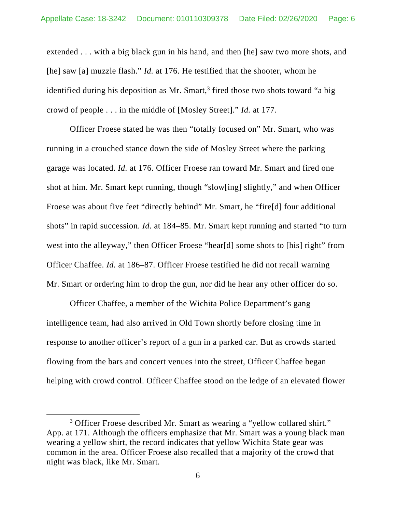extended . . . with a big black gun in his hand, and then [he] saw two more shots, and [he] saw [a] muzzle flash." *Id.* at 176. He testified that the shooter, whom he identified during his deposition as Mr. Smart, $3$  fired those two shots toward "a big crowd of people . . . in the middle of [Mosley Street]." *Id.* at 177.

Officer Froese stated he was then "totally focused on" Mr. Smart, who was running in a crouched stance down the side of Mosley Street where the parking garage was located. *Id.* at 176. Officer Froese ran toward Mr. Smart and fired one shot at him. Mr. Smart kept running, though "slow[ing] slightly," and when Officer Froese was about five feet "directly behind" Mr. Smart, he "fire[d] four additional shots" in rapid succession. *Id.* at 184–85. Mr. Smart kept running and started "to turn west into the alleyway," then Officer Froese "hear[d] some shots to [his] right" from Officer Chaffee. *Id.* at 186–87. Officer Froese testified he did not recall warning Mr. Smart or ordering him to drop the gun, nor did he hear any other officer do so.

Officer Chaffee, a member of the Wichita Police Department's gang intelligence team, had also arrived in Old Town shortly before closing time in response to another officer's report of a gun in a parked car. But as crowds started flowing from the bars and concert venues into the street, Officer Chaffee began helping with crowd control. Officer Chaffee stood on the ledge of an elevated flower

 $\overline{\phantom{a}}$  3 <sup>3</sup> Officer Froese described Mr. Smart as wearing a "yellow collared shirt." App. at 171. Although the officers emphasize that Mr. Smart was a young black man wearing a yellow shirt, the record indicates that yellow Wichita State gear was common in the area. Officer Froese also recalled that a majority of the crowd that night was black, like Mr. Smart.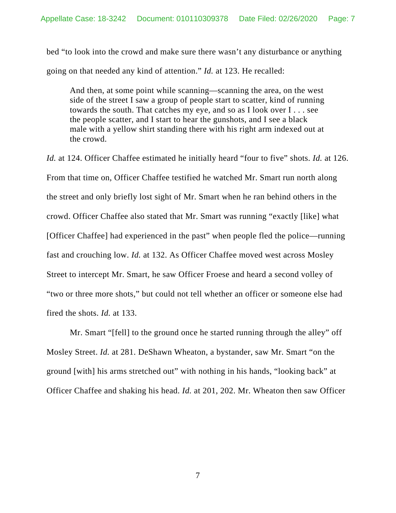bed "to look into the crowd and make sure there wasn't any disturbance or anything going on that needed any kind of attention." *Id.* at 123. He recalled:

And then, at some point while scanning—scanning the area, on the west side of the street I saw a group of people start to scatter, kind of running towards the south. That catches my eye, and so as I look over I . . . see the people scatter, and I start to hear the gunshots, and I see a black male with a yellow shirt standing there with his right arm indexed out at the crowd.

*Id.* at 124. Officer Chaffee estimated he initially heard "four to five" shots. *Id.* at 126. From that time on, Officer Chaffee testified he watched Mr. Smart run north along the street and only briefly lost sight of Mr. Smart when he ran behind others in the crowd. Officer Chaffee also stated that Mr. Smart was running "exactly [like] what [Officer Chaffee] had experienced in the past" when people fled the police—running fast and crouching low. *Id.* at 132. As Officer Chaffee moved west across Mosley Street to intercept Mr. Smart, he saw Officer Froese and heard a second volley of "two or three more shots," but could not tell whether an officer or someone else had fired the shots. *Id.* at 133.

Mr. Smart "[fell] to the ground once he started running through the alley" off Mosley Street. *Id.* at 281. DeShawn Wheaton, a bystander, saw Mr. Smart "on the ground [with] his arms stretched out" with nothing in his hands, "looking back" at Officer Chaffee and shaking his head. *Id.* at 201, 202. Mr. Wheaton then saw Officer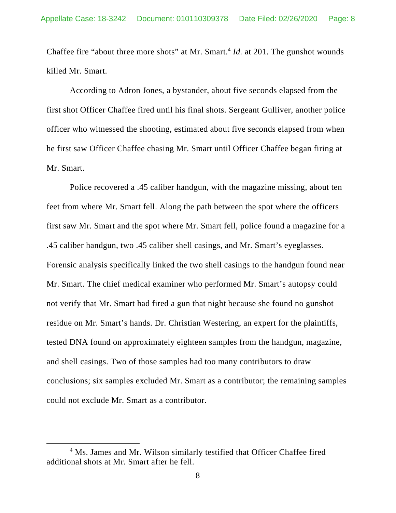Chaffee fire "about three more shots" at Mr. Smart.<sup>4</sup> *Id.* at 201. The gunshot wounds killed Mr. Smart.

According to Adron Jones, a bystander, about five seconds elapsed from the first shot Officer Chaffee fired until his final shots. Sergeant Gulliver, another police officer who witnessed the shooting, estimated about five seconds elapsed from when he first saw Officer Chaffee chasing Mr. Smart until Officer Chaffee began firing at Mr. Smart.

Police recovered a .45 caliber handgun, with the magazine missing, about ten feet from where Mr. Smart fell. Along the path between the spot where the officers first saw Mr. Smart and the spot where Mr. Smart fell, police found a magazine for a .45 caliber handgun, two .45 caliber shell casings, and Mr. Smart's eyeglasses. Forensic analysis specifically linked the two shell casings to the handgun found near Mr. Smart. The chief medical examiner who performed Mr. Smart's autopsy could not verify that Mr. Smart had fired a gun that night because she found no gunshot residue on Mr. Smart's hands. Dr. Christian Westering, an expert for the plaintiffs, tested DNA found on approximately eighteen samples from the handgun, magazine, and shell casings. Two of those samples had too many contributors to draw conclusions; six samples excluded Mr. Smart as a contributor; the remaining samples could not exclude Mr. Smart as a contributor.

 $\overline{4}$ <sup>4</sup> Ms. James and Mr. Wilson similarly testified that Officer Chaffee fired additional shots at Mr. Smart after he fell.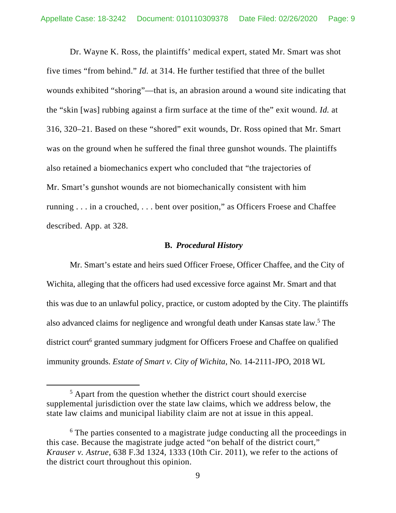Dr. Wayne K. Ross, the plaintiffs' medical expert, stated Mr. Smart was shot five times "from behind." *Id.* at 314. He further testified that three of the bullet wounds exhibited "shoring"—that is, an abrasion around a wound site indicating that the "skin [was] rubbing against a firm surface at the time of the" exit wound. *Id.* at 316, 320–21. Based on these "shored" exit wounds, Dr. Ross opined that Mr. Smart was on the ground when he suffered the final three gunshot wounds. The plaintiffs also retained a biomechanics expert who concluded that "the trajectories of Mr. Smart's gunshot wounds are not biomechanically consistent with him running . . . in a crouched, . . . bent over position," as Officers Froese and Chaffee described. App. at 328.

### **B.** *Procedural History*

Mr. Smart's estate and heirs sued Officer Froese, Officer Chaffee, and the City of Wichita, alleging that the officers had used excessive force against Mr. Smart and that this was due to an unlawful policy, practice, or custom adopted by the City. The plaintiffs also advanced claims for negligence and wrongful death under Kansas state law.<sup>5</sup> The district court<sup>6</sup> granted summary judgment for Officers Froese and Chaffee on qualified immunity grounds. *Estate of Smart v. City of Wichita*, No. 14-2111-JPO, 2018 WL

 $\frac{1}{5}$  $5$  Apart from the question whether the district court should exercise supplemental jurisdiction over the state law claims, which we address below, the state law claims and municipal liability claim are not at issue in this appeal.

<sup>&</sup>lt;sup>6</sup> The parties consented to a magistrate judge conducting all the proceedings in this case. Because the magistrate judge acted "on behalf of the district court," *Krauser v. Astrue*, 638 F.3d 1324, 1333 (10th Cir. 2011), we refer to the actions of the district court throughout this opinion.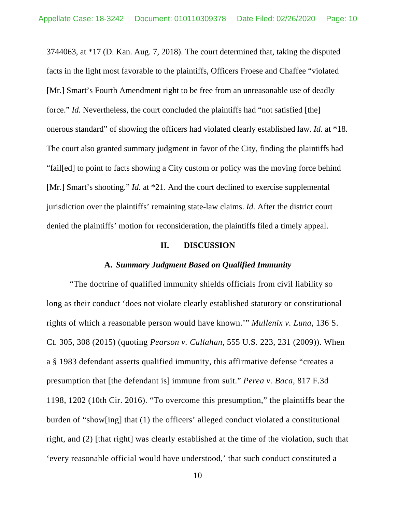3744063, at \*17 (D. Kan. Aug. 7, 2018). The court determined that, taking the disputed facts in the light most favorable to the plaintiffs, Officers Froese and Chaffee "violated [Mr.] Smart's Fourth Amendment right to be free from an unreasonable use of deadly force." *Id.* Nevertheless, the court concluded the plaintiffs had "not satisfied [the] onerous standard" of showing the officers had violated clearly established law. *Id.* at \*18. The court also granted summary judgment in favor of the City, finding the plaintiffs had "fail[ed] to point to facts showing a City custom or policy was the moving force behind [Mr.] Smart's shooting." *Id.* at \*21. And the court declined to exercise supplemental jurisdiction over the plaintiffs' remaining state-law claims. *Id.* After the district court denied the plaintiffs' motion for reconsideration, the plaintiffs filed a timely appeal.

#### **II. DISCUSSION**

### **A.** *Summary Judgment Based on Qualified Immunity*

"The doctrine of qualified immunity shields officials from civil liability so long as their conduct 'does not violate clearly established statutory or constitutional rights of which a reasonable person would have known.'" *Mullenix v. Luna*, 136 S. Ct. 305, 308 (2015) (quoting *Pearson v. Callahan*, 555 U.S. 223, 231 (2009)). When a § 1983 defendant asserts qualified immunity, this affirmative defense "creates a presumption that [the defendant is] immune from suit." *Perea v. Baca*, 817 F.3d 1198, 1202 (10th Cir. 2016). "To overcome this presumption," the plaintiffs bear the burden of "show[ing] that (1) the officers' alleged conduct violated a constitutional right, and (2) [that right] was clearly established at the time of the violation, such that 'every reasonable official would have understood,' that such conduct constituted a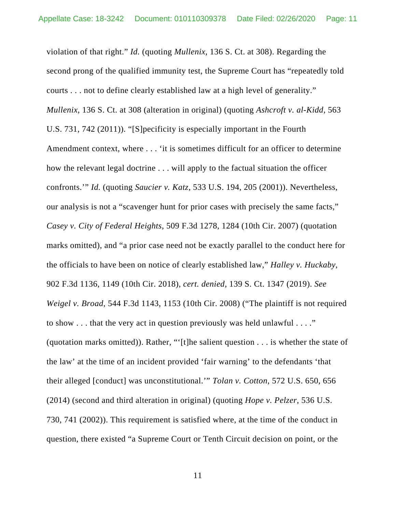violation of that right." *Id.* (quoting *Mullenix*, 136 S. Ct. at 308). Regarding the second prong of the qualified immunity test, the Supreme Court has "repeatedly told courts . . . not to define clearly established law at a high level of generality." *Mullenix*, 136 S. Ct. at 308 (alteration in original) (quoting *Ashcroft v. al-Kidd*, 563 U.S. 731, 742 (2011)). "[S]pecificity is especially important in the Fourth Amendment context, where . . . 'it is sometimes difficult for an officer to determine how the relevant legal doctrine . . . will apply to the factual situation the officer confronts.'" *Id.* (quoting *Saucier v. Katz*, 533 U.S. 194, 205 (2001)). Nevertheless, our analysis is not a "scavenger hunt for prior cases with precisely the same facts," *Casey v. City of Federal Heights*, 509 F.3d 1278, 1284 (10th Cir. 2007) (quotation marks omitted), and "a prior case need not be exactly parallel to the conduct here for the officials to have been on notice of clearly established law," *Halley v. Huckaby*, 902 F.3d 1136, 1149 (10th Cir. 2018), *cert. denied*, 139 S. Ct. 1347 (2019). *See Weigel v. Broad*, 544 F.3d 1143, 1153 (10th Cir. 2008) ("The plaintiff is not required to show . . . that the very act in question previously was held unlawful . . . ." (quotation marks omitted)). Rather, "'[t]he salient question . . . is whether the state of the law' at the time of an incident provided 'fair warning' to the defendants 'that their alleged [conduct] was unconstitutional.'" *Tolan v. Cotton*, 572 U.S. 650, 656 (2014) (second and third alteration in original) (quoting *Hope v. Pelzer*, 536 U.S. 730, 741 (2002)). This requirement is satisfied where, at the time of the conduct in question, there existed "a Supreme Court or Tenth Circuit decision on point, or the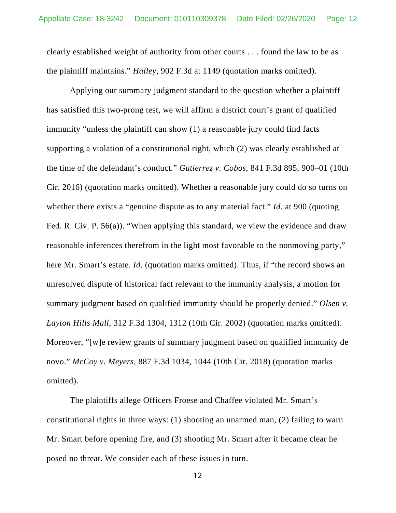clearly established weight of authority from other courts . . . found the law to be as the plaintiff maintains." *Halley*, 902 F.3d at 1149 (quotation marks omitted).

Applying our summary judgment standard to the question whether a plaintiff has satisfied this two-prong test, we will affirm a district court's grant of qualified immunity "unless the plaintiff can show (1) a reasonable jury could find facts supporting a violation of a constitutional right, which (2) was clearly established at the time of the defendant's conduct." *Gutierrez v. Cobos*, 841 F.3d 895, 900–01 (10th Cir. 2016) (quotation marks omitted). Whether a reasonable jury could do so turns on whether there exists a "genuine dispute as to any material fact." *Id.* at 900 (quoting Fed. R. Civ. P. 56(a)). "When applying this standard, we view the evidence and draw reasonable inferences therefrom in the light most favorable to the nonmoving party," here Mr. Smart's estate. *Id.* (quotation marks omitted). Thus, if "the record shows an unresolved dispute of historical fact relevant to the immunity analysis, a motion for summary judgment based on qualified immunity should be properly denied." *Olsen v. Layton Hills Mall*, 312 F.3d 1304, 1312 (10th Cir. 2002) (quotation marks omitted). Moreover, "[w]e review grants of summary judgment based on qualified immunity de novo." *McCoy v. Meyers*, 887 F.3d 1034, 1044 (10th Cir. 2018) (quotation marks omitted).

The plaintiffs allege Officers Froese and Chaffee violated Mr. Smart's constitutional rights in three ways: (1) shooting an unarmed man, (2) failing to warn Mr. Smart before opening fire, and (3) shooting Mr. Smart after it became clear he posed no threat. We consider each of these issues in turn.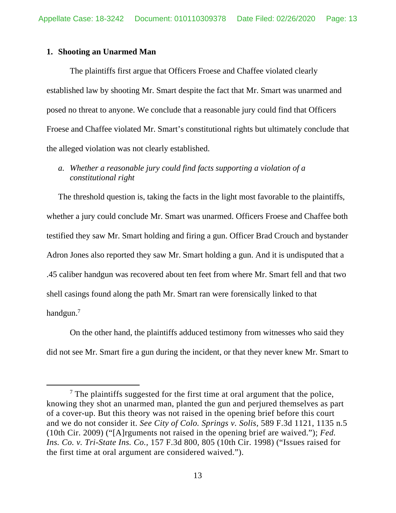### **1. Shooting an Unarmed Man**

 The plaintiffs first argue that Officers Froese and Chaffee violated clearly established law by shooting Mr. Smart despite the fact that Mr. Smart was unarmed and posed no threat to anyone. We conclude that a reasonable jury could find that Officers Froese and Chaffee violated Mr. Smart's constitutional rights but ultimately conclude that the alleged violation was not clearly established.

*a. Whether a reasonable jury could find facts supporting a violation of a constitutional right* 

The threshold question is, taking the facts in the light most favorable to the plaintiffs, whether a jury could conclude Mr. Smart was unarmed. Officers Froese and Chaffee both testified they saw Mr. Smart holding and firing a gun. Officer Brad Crouch and bystander Adron Jones also reported they saw Mr. Smart holding a gun. And it is undisputed that a .45 caliber handgun was recovered about ten feet from where Mr. Smart fell and that two shell casings found along the path Mr. Smart ran were forensically linked to that handgun.7

 On the other hand, the plaintiffs adduced testimony from witnesses who said they did not see Mr. Smart fire a gun during the incident, or that they never knew Mr. Smart to

 <sup>7</sup>  $7$  The plaintiffs suggested for the first time at oral argument that the police, knowing they shot an unarmed man, planted the gun and perjured themselves as part of a cover-up. But this theory was not raised in the opening brief before this court and we do not consider it. *See City of Colo. Springs v. Solis*, 589 F.3d 1121, 1135 n.5 (10th Cir. 2009) ("[A]rguments not raised in the opening brief are waived."); *Fed. Ins. Co. v. Tri-State Ins. Co.,* 157 F.3d 800, 805 (10th Cir. 1998) ("Issues raised for the first time at oral argument are considered waived.").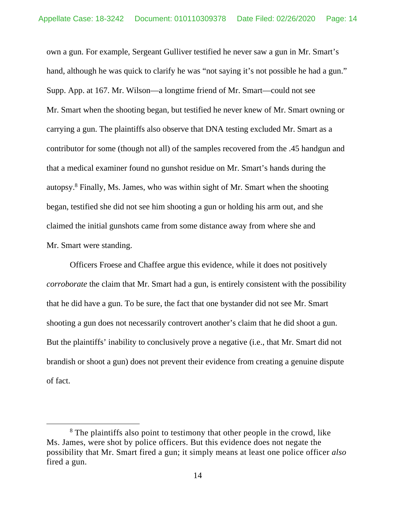own a gun. For example, Sergeant Gulliver testified he never saw a gun in Mr. Smart's hand, although he was quick to clarify he was "not saying it's not possible he had a gun." Supp. App. at 167. Mr. Wilson—a longtime friend of Mr. Smart—could not see Mr. Smart when the shooting began, but testified he never knew of Mr. Smart owning or carrying a gun. The plaintiffs also observe that DNA testing excluded Mr. Smart as a contributor for some (though not all) of the samples recovered from the .45 handgun and that a medical examiner found no gunshot residue on Mr. Smart's hands during the autopsy.<sup>8</sup> Finally, Ms. James, who was within sight of Mr. Smart when the shooting began, testified she did not see him shooting a gun or holding his arm out, and she claimed the initial gunshots came from some distance away from where she and Mr. Smart were standing.

 Officers Froese and Chaffee argue this evidence, while it does not positively *corroborate* the claim that Mr. Smart had a gun, is entirely consistent with the possibility that he did have a gun. To be sure, the fact that one bystander did not see Mr. Smart shooting a gun does not necessarily controvert another's claim that he did shoot a gun. But the plaintiffs' inability to conclusively prove a negative (i.e., that Mr. Smart did not brandish or shoot a gun) does not prevent their evidence from creating a genuine dispute of fact.

 <sup>8</sup> <sup>8</sup> The plaintiffs also point to testimony that other people in the crowd, like Ms. James, were shot by police officers. But this evidence does not negate the possibility that Mr. Smart fired a gun; it simply means at least one police officer *also* fired a gun.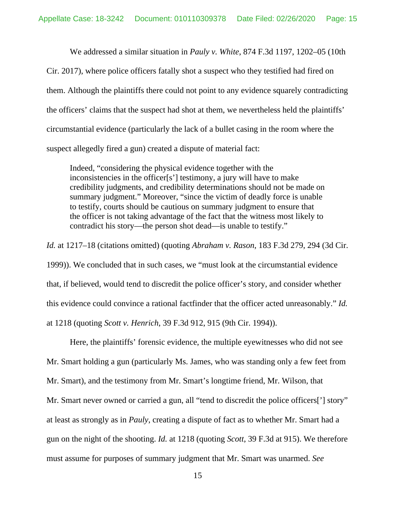We addressed a similar situation in *Pauly v. White*, 874 F.3d 1197, 1202–05 (10th Cir. 2017), where police officers fatally shot a suspect who they testified had fired on them. Although the plaintiffs there could not point to any evidence squarely contradicting the officers' claims that the suspect had shot at them, we nevertheless held the plaintiffs' circumstantial evidence (particularly the lack of a bullet casing in the room where the suspect allegedly fired a gun) created a dispute of material fact:

Indeed, "considering the physical evidence together with the inconsistencies in the officer[s'] testimony, a jury will have to make credibility judgments, and credibility determinations should not be made on summary judgment." Moreover, "since the victim of deadly force is unable to testify, courts should be cautious on summary judgment to ensure that the officer is not taking advantage of the fact that the witness most likely to contradict his story—the person shot dead—is unable to testify."

*Id.* at 1217–18 (citations omitted) (quoting *Abraham v. Rason*, 183 F.3d 279, 294 (3d Cir. 1999)). We concluded that in such cases, we "must look at the circumstantial evidence that, if believed, would tend to discredit the police officer's story, and consider whether this evidence could convince a rational factfinder that the officer acted unreasonably." *Id.* at 1218 (quoting *Scott v. Henrich*, 39 F.3d 912, 915 (9th Cir. 1994)).

Here, the plaintiffs' forensic evidence, the multiple eyewitnesses who did not see Mr. Smart holding a gun (particularly Ms. James, who was standing only a few feet from Mr. Smart), and the testimony from Mr. Smart's longtime friend, Mr. Wilson, that Mr. Smart never owned or carried a gun, all "tend to discredit the police officers['] story" at least as strongly as in *Pauly*, creating a dispute of fact as to whether Mr. Smart had a gun on the night of the shooting. *Id.* at 1218 (quoting *Scott*, 39 F.3d at 915). We therefore must assume for purposes of summary judgment that Mr. Smart was unarmed. *See*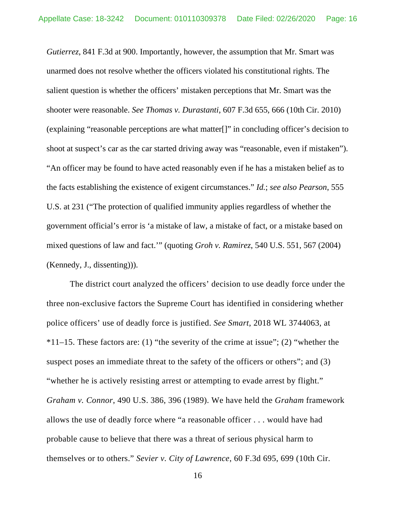*Gutierrez*, 841 F.3d at 900. Importantly, however, the assumption that Mr. Smart was unarmed does not resolve whether the officers violated his constitutional rights. The salient question is whether the officers' mistaken perceptions that Mr. Smart was the shooter were reasonable. *See Thomas v. Durastanti*, 607 F.3d 655, 666 (10th Cir. 2010) (explaining "reasonable perceptions are what matter[]" in concluding officer's decision to shoot at suspect's car as the car started driving away was "reasonable, even if mistaken"). "An officer may be found to have acted reasonably even if he has a mistaken belief as to the facts establishing the existence of exigent circumstances." *Id.*; *see also Pearson*, 555 U.S. at 231 ("The protection of qualified immunity applies regardless of whether the government official's error is 'a mistake of law, a mistake of fact, or a mistake based on mixed questions of law and fact.'" (quoting *Groh v. Ramirez*, 540 U.S. 551, 567 (2004) (Kennedy, J., dissenting))).

The district court analyzed the officers' decision to use deadly force under the three non-exclusive factors the Supreme Court has identified in considering whether police officers' use of deadly force is justified. *See Smart*, 2018 WL 3744063, at  $*11-15$ . These factors are: (1) "the severity of the crime at issue"; (2) "whether the suspect poses an immediate threat to the safety of the officers or others"; and (3) "whether he is actively resisting arrest or attempting to evade arrest by flight." *Graham v. Connor*, 490 U.S. 386, 396 (1989). We have held the *Graham* framework allows the use of deadly force where "a reasonable officer . . . would have had probable cause to believe that there was a threat of serious physical harm to themselves or to others." *Sevier v. City of Lawrence*, 60 F.3d 695, 699 (10th Cir.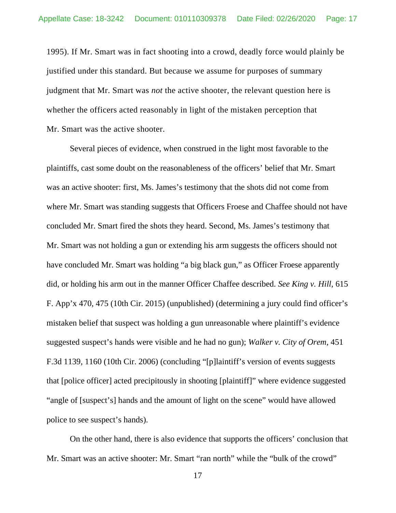1995). If Mr. Smart was in fact shooting into a crowd, deadly force would plainly be justified under this standard. But because we assume for purposes of summary judgment that Mr. Smart was *not* the active shooter, the relevant question here is whether the officers acted reasonably in light of the mistaken perception that Mr. Smart was the active shooter.

 Several pieces of evidence, when construed in the light most favorable to the plaintiffs, cast some doubt on the reasonableness of the officers' belief that Mr. Smart was an active shooter: first, Ms. James's testimony that the shots did not come from where Mr. Smart was standing suggests that Officers Froese and Chaffee should not have concluded Mr. Smart fired the shots they heard. Second, Ms. James's testimony that Mr. Smart was not holding a gun or extending his arm suggests the officers should not have concluded Mr. Smart was holding "a big black gun," as Officer Froese apparently did, or holding his arm out in the manner Officer Chaffee described. *See King v. Hill*, 615 F. App'x 470, 475 (10th Cir. 2015) (unpublished) (determining a jury could find officer's mistaken belief that suspect was holding a gun unreasonable where plaintiff's evidence suggested suspect's hands were visible and he had no gun); *Walker v. City of Orem*, 451 F.3d 1139, 1160 (10th Cir. 2006) (concluding "[p]laintiff's version of events suggests that [police officer] acted precipitously in shooting [plaintiff]" where evidence suggested "angle of [suspect's] hands and the amount of light on the scene" would have allowed police to see suspect's hands).

 On the other hand, there is also evidence that supports the officers' conclusion that Mr. Smart was an active shooter: Mr. Smart "ran north" while the "bulk of the crowd"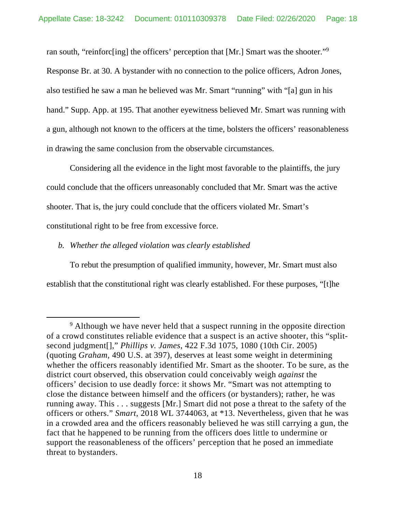ran south, "reinforc[ing] the officers' perception that [Mr.] Smart was the shooter."9 Response Br. at 30. A bystander with no connection to the police officers, Adron Jones, also testified he saw a man he believed was Mr. Smart "running" with "[a] gun in his hand." Supp. App. at 195. That another eyewitness believed Mr. Smart was running with a gun, although not known to the officers at the time, bolsters the officers' reasonableness in drawing the same conclusion from the observable circumstances.

 Considering all the evidence in the light most favorable to the plaintiffs, the jury could conclude that the officers unreasonably concluded that Mr. Smart was the active shooter. That is, the jury could conclude that the officers violated Mr. Smart's constitutional right to be free from excessive force.

### *b. Whether the alleged violation was clearly established*

To rebut the presumption of qualified immunity, however, Mr. Smart must also establish that the constitutional right was clearly established. For these purposes, "[t]he

 <sup>9</sup> <sup>9</sup> Although we have never held that a suspect running in the opposite direction of a crowd constitutes reliable evidence that a suspect is an active shooter, this "splitsecond judgment[]," *Phillips v. James*, 422 F.3d 1075, 1080 (10th Cir. 2005) (quoting *Graham*, 490 U.S. at 397), deserves at least some weight in determining whether the officers reasonably identified Mr. Smart as the shooter. To be sure, as the district court observed, this observation could conceivably weigh *against* the officers' decision to use deadly force: it shows Mr. "Smart was not attempting to close the distance between himself and the officers (or bystanders); rather, he was running away. This . . . suggests [Mr.] Smart did not pose a threat to the safety of the officers or others." *Smart*, 2018 WL 3744063, at \*13. Nevertheless, given that he was in a crowded area and the officers reasonably believed he was still carrying a gun, the fact that he happened to be running from the officers does little to undermine or support the reasonableness of the officers' perception that he posed an immediate threat to bystanders.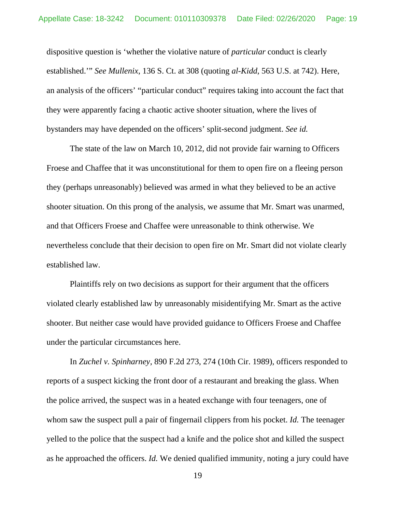dispositive question is 'whether the violative nature of *particular* conduct is clearly established.'" *See Mullenix*, 136 S. Ct. at 308 (quoting *al-Kidd*, 563 U.S. at 742). Here, an analysis of the officers' "particular conduct" requires taking into account the fact that they were apparently facing a chaotic active shooter situation, where the lives of bystanders may have depended on the officers' split-second judgment. *See id.*

The state of the law on March 10, 2012, did not provide fair warning to Officers Froese and Chaffee that it was unconstitutional for them to open fire on a fleeing person they (perhaps unreasonably) believed was armed in what they believed to be an active shooter situation. On this prong of the analysis, we assume that Mr. Smart was unarmed, and that Officers Froese and Chaffee were unreasonable to think otherwise. We nevertheless conclude that their decision to open fire on Mr. Smart did not violate clearly established law.

Plaintiffs rely on two decisions as support for their argument that the officers violated clearly established law by unreasonably misidentifying Mr. Smart as the active shooter. But neither case would have provided guidance to Officers Froese and Chaffee under the particular circumstances here.

 In *Zuchel v. Spinharney*, 890 F.2d 273, 274 (10th Cir. 1989), officers responded to reports of a suspect kicking the front door of a restaurant and breaking the glass. When the police arrived, the suspect was in a heated exchange with four teenagers, one of whom saw the suspect pull a pair of fingernail clippers from his pocket. *Id.* The teenager yelled to the police that the suspect had a knife and the police shot and killed the suspect as he approached the officers. *Id.* We denied qualified immunity, noting a jury could have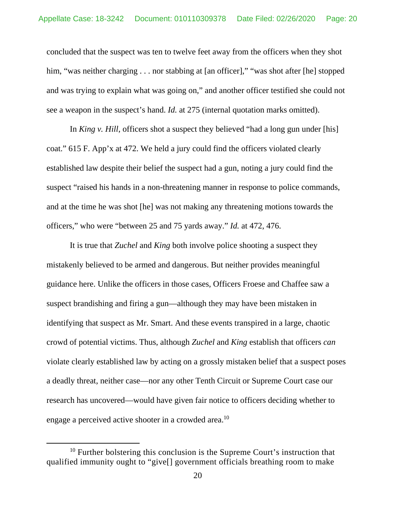concluded that the suspect was ten to twelve feet away from the officers when they shot him, "was neither charging . . . nor stabbing at [an officer]," "was shot after [he] stopped and was trying to explain what was going on," and another officer testified she could not see a weapon in the suspect's hand. *Id.* at 275 (internal quotation marks omitted).

 In *King v. Hill*, officers shot a suspect they believed "had a long gun under [his] coat." 615 F. App'x at 472. We held a jury could find the officers violated clearly established law despite their belief the suspect had a gun, noting a jury could find the suspect "raised his hands in a non-threatening manner in response to police commands, and at the time he was shot [he] was not making any threatening motions towards the officers," who were "between 25 and 75 yards away." *Id.* at 472, 476.

 It is true that *Zuchel* and *King* both involve police shooting a suspect they mistakenly believed to be armed and dangerous. But neither provides meaningful guidance here. Unlike the officers in those cases, Officers Froese and Chaffee saw a suspect brandishing and firing a gun—although they may have been mistaken in identifying that suspect as Mr. Smart. And these events transpired in a large, chaotic crowd of potential victims. Thus, although *Zuchel* and *King* establish that officers *can* violate clearly established law by acting on a grossly mistaken belief that a suspect poses a deadly threat, neither case—nor any other Tenth Circuit or Supreme Court case our research has uncovered—would have given fair notice to officers deciding whether to engage a perceived active shooter in a crowded area.<sup>10</sup>

<sup>&</sup>lt;sup>10</sup> Further bolstering this conclusion is the Supreme Court's instruction that qualified immunity ought to "give[] government officials breathing room to make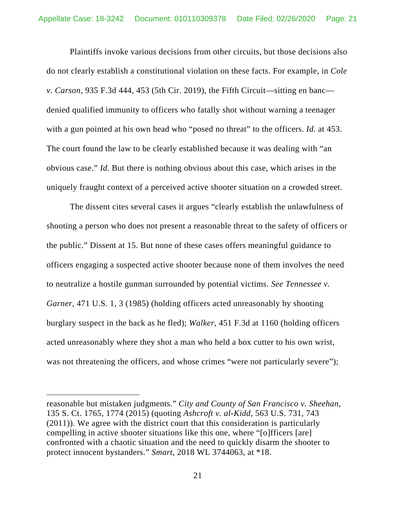Plaintiffs invoke various decisions from other circuits, but those decisions also do not clearly establish a constitutional violation on these facts. For example, in *Cole v. Carson*, 935 F.3d 444, 453 (5th Cir. 2019), the Fifth Circuit—sitting en banc denied qualified immunity to officers who fatally shot without warning a teenager with a gun pointed at his own head who "posed no threat" to the officers. *Id.* at 453. The court found the law to be clearly established because it was dealing with "an obvious case." *Id.* But there is nothing obvious about this case, which arises in the uniquely fraught context of a perceived active shooter situation on a crowded street.

The dissent cites several cases it argues "clearly establish the unlawfulness of shooting a person who does not present a reasonable threat to the safety of officers or the public." Dissent at 15. But none of these cases offers meaningful guidance to officers engaging a suspected active shooter because none of them involves the need to neutralize a hostile gunman surrounded by potential victims. *See Tennessee v. Garner*, 471 U.S. 1, 3 (1985) (holding officers acted unreasonably by shooting burglary suspect in the back as he fled); *Walker*, 451 F.3d at 1160 (holding officers acted unreasonably where they shot a man who held a box cutter to his own wrist, was not threatening the officers, and whose crimes "were not particularly severe");

reasonable but mistaken judgments." *City and County of San Francisco v. Sheehan*, 135 S. Ct. 1765, 1774 (2015) (quoting *Ashcroft v. al-Kidd*, 563 U.S. 731, 743 (2011)). We agree with the district court that this consideration is particularly compelling in active shooter situations like this one, where "[o]fficers [are] confronted with a chaotic situation and the need to quickly disarm the shooter to protect innocent bystanders." *Smart*, 2018 WL 3744063, at \*18.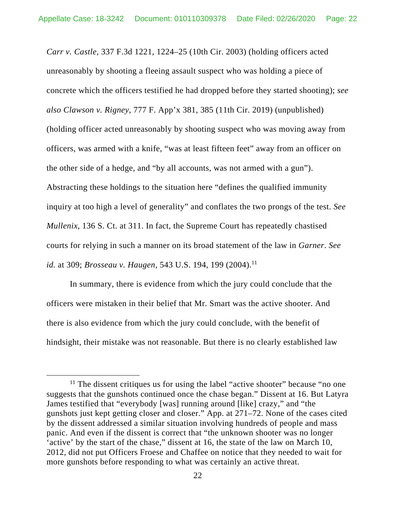*Carr v. Castle*, 337 F.3d 1221, 1224–25 (10th Cir. 2003) (holding officers acted unreasonably by shooting a fleeing assault suspect who was holding a piece of concrete which the officers testified he had dropped before they started shooting); *see also Clawson v. Rigney*, 777 F. App'x 381, 385 (11th Cir. 2019) (unpublished) (holding officer acted unreasonably by shooting suspect who was moving away from officers, was armed with a knife, "was at least fifteen feet" away from an officer on the other side of a hedge, and "by all accounts, was not armed with a gun"). Abstracting these holdings to the situation here "defines the qualified immunity inquiry at too high a level of generality" and conflates the two prongs of the test. *See Mullenix*, 136 S. Ct. at 311. In fact, the Supreme Court has repeatedly chastised courts for relying in such a manner on its broad statement of the law in *Garner*. *See id.* at 309; *Brosseau v. Haugen*, 543 U.S. 194, 199 (2004).<sup>11</sup>

In summary, there is evidence from which the jury could conclude that the officers were mistaken in their belief that Mr. Smart was the active shooter. And there is also evidence from which the jury could conclude, with the benefit of hindsight, their mistake was not reasonable. But there is no clearly established law

<sup>&</sup>lt;sup>11</sup> The dissent critiques us for using the label "active shooter" because "no one suggests that the gunshots continued once the chase began." Dissent at 16. But Latyra James testified that "everybody [was] running around [like] crazy," and "the gunshots just kept getting closer and closer." App. at 271–72. None of the cases cited by the dissent addressed a similar situation involving hundreds of people and mass panic. And even if the dissent is correct that "the unknown shooter was no longer 'active' by the start of the chase," dissent at 16, the state of the law on March 10, 2012, did not put Officers Froese and Chaffee on notice that they needed to wait for more gunshots before responding to what was certainly an active threat.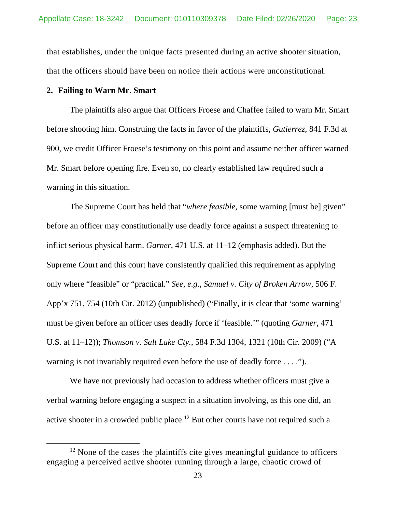that establishes, under the unique facts presented during an active shooter situation, that the officers should have been on notice their actions were unconstitutional.

### **2. Failing to Warn Mr. Smart**

 The plaintiffs also argue that Officers Froese and Chaffee failed to warn Mr. Smart before shooting him. Construing the facts in favor of the plaintiffs, *Gutierrez*, 841 F.3d at 900, we credit Officer Froese's testimony on this point and assume neither officer warned Mr. Smart before opening fire. Even so, no clearly established law required such a warning in this situation.

 The Supreme Court has held that "*where feasible*, some warning [must be] given" before an officer may constitutionally use deadly force against a suspect threatening to inflict serious physical harm. *Garner*, 471 U.S. at 11–12 (emphasis added). But the Supreme Court and this court have consistently qualified this requirement as applying only where "feasible" or "practical." *See, e.g.*, *Samuel v. City of Broken Arrow*, 506 F. App'x 751, 754 (10th Cir. 2012) (unpublished) ("Finally, it is clear that 'some warning' must be given before an officer uses deadly force if 'feasible.'" (quoting *Garner*, 471 U.S. at 11–12)); *Thomson v. Salt Lake Cty.*, 584 F.3d 1304, 1321 (10th Cir. 2009) ("A warning is not invariably required even before the use of deadly force . . . .").

 We have not previously had occasion to address whether officers must give a verbal warning before engaging a suspect in a situation involving, as this one did, an active shooter in a crowded public place.12 But other courts have not required such a

 $12$  None of the cases the plaintiffs cite gives meaningful guidance to officers engaging a perceived active shooter running through a large, chaotic crowd of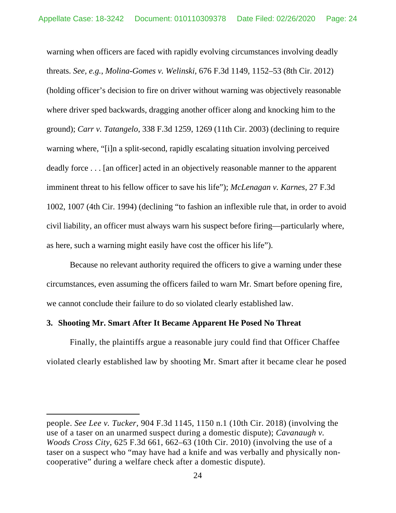warning when officers are faced with rapidly evolving circumstances involving deadly threats. *See, e.g.*, *Molina-Gomes v. Welinski*, 676 F.3d 1149, 1152–53 (8th Cir. 2012) (holding officer's decision to fire on driver without warning was objectively reasonable where driver sped backwards, dragging another officer along and knocking him to the ground); *Carr v. Tatangelo*, 338 F.3d 1259, 1269 (11th Cir. 2003) (declining to require warning where, "[i]n a split-second, rapidly escalating situation involving perceived deadly force . . . [an officer] acted in an objectively reasonable manner to the apparent imminent threat to his fellow officer to save his life"); *McLenagan v. Karnes*, 27 F.3d 1002, 1007 (4th Cir. 1994) (declining "to fashion an inflexible rule that, in order to avoid civil liability, an officer must always warn his suspect before firing—particularly where, as here, such a warning might easily have cost the officer his life").

 Because no relevant authority required the officers to give a warning under these circumstances, even assuming the officers failed to warn Mr. Smart before opening fire, we cannot conclude their failure to do so violated clearly established law.

## **3. Shooting Mr. Smart After It Became Apparent He Posed No Threat**

 $\overline{a}$ 

Finally, the plaintiffs argue a reasonable jury could find that Officer Chaffee violated clearly established law by shooting Mr. Smart after it became clear he posed

people. *See Lee v. Tucker*, 904 F.3d 1145, 1150 n.1 (10th Cir. 2018) (involving the use of a taser on an unarmed suspect during a domestic dispute); *Cavanaugh v. Woods Cross City*, 625 F.3d 661, 662–63 (10th Cir. 2010) (involving the use of a taser on a suspect who "may have had a knife and was verbally and physically noncooperative" during a welfare check after a domestic dispute).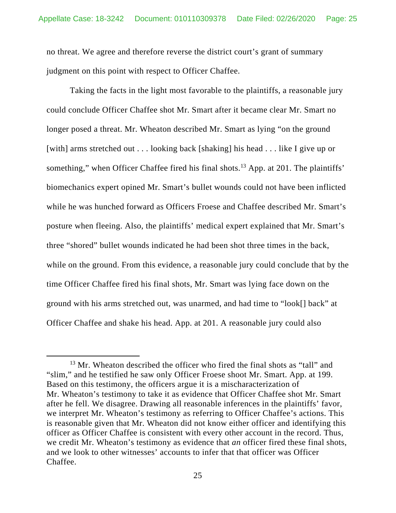no threat. We agree and therefore reverse the district court's grant of summary judgment on this point with respect to Officer Chaffee.

Taking the facts in the light most favorable to the plaintiffs, a reasonable jury could conclude Officer Chaffee shot Mr. Smart after it became clear Mr. Smart no longer posed a threat. Mr. Wheaton described Mr. Smart as lying "on the ground [with] arms stretched out . . . looking back [shaking] his head . . . like I give up or something," when Officer Chaffee fired his final shots.<sup>13</sup> App. at 201. The plaintiffs' biomechanics expert opined Mr. Smart's bullet wounds could not have been inflicted while he was hunched forward as Officers Froese and Chaffee described Mr. Smart's posture when fleeing. Also, the plaintiffs' medical expert explained that Mr. Smart's three "shored" bullet wounds indicated he had been shot three times in the back, while on the ground. From this evidence, a reasonable jury could conclude that by the time Officer Chaffee fired his final shots, Mr. Smart was lying face down on the ground with his arms stretched out, was unarmed, and had time to "look[] back" at Officer Chaffee and shake his head. App. at 201. A reasonable jury could also

<sup>&</sup>lt;sup>13</sup> Mr. Wheaton described the officer who fired the final shots as "tall" and "slim," and he testified he saw only Officer Froese shoot Mr. Smart. App. at 199. Based on this testimony, the officers argue it is a mischaracterization of Mr. Wheaton's testimony to take it as evidence that Officer Chaffee shot Mr. Smart after he fell. We disagree. Drawing all reasonable inferences in the plaintiffs' favor, we interpret Mr. Wheaton's testimony as referring to Officer Chaffee's actions. This is reasonable given that Mr. Wheaton did not know either officer and identifying this officer as Officer Chaffee is consistent with every other account in the record. Thus, we credit Mr. Wheaton's testimony as evidence that *an* officer fired these final shots, and we look to other witnesses' accounts to infer that that officer was Officer Chaffee.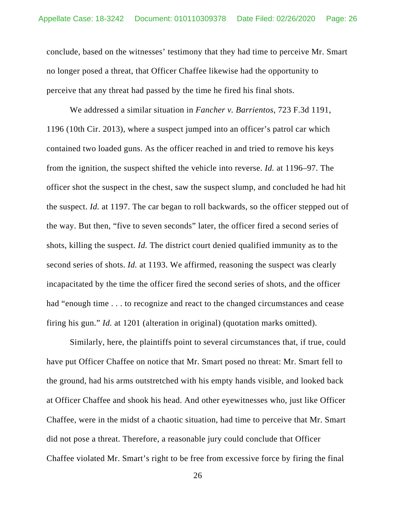conclude, based on the witnesses' testimony that they had time to perceive Mr. Smart no longer posed a threat, that Officer Chaffee likewise had the opportunity to perceive that any threat had passed by the time he fired his final shots.

We addressed a similar situation in *Fancher v. Barrientos*, 723 F.3d 1191, 1196 (10th Cir. 2013), where a suspect jumped into an officer's patrol car which contained two loaded guns. As the officer reached in and tried to remove his keys from the ignition, the suspect shifted the vehicle into reverse. *Id.* at 1196–97. The officer shot the suspect in the chest, saw the suspect slump, and concluded he had hit the suspect. *Id.* at 1197. The car began to roll backwards, so the officer stepped out of the way. But then, "five to seven seconds" later, the officer fired a second series of shots, killing the suspect. *Id.* The district court denied qualified immunity as to the second series of shots. *Id.* at 1193. We affirmed, reasoning the suspect was clearly incapacitated by the time the officer fired the second series of shots, and the officer had "enough time . . . to recognize and react to the changed circumstances and cease firing his gun." *Id.* at 1201 (alteration in original) (quotation marks omitted).

Similarly, here, the plaintiffs point to several circumstances that, if true, could have put Officer Chaffee on notice that Mr. Smart posed no threat: Mr. Smart fell to the ground, had his arms outstretched with his empty hands visible, and looked back at Officer Chaffee and shook his head. And other eyewitnesses who, just like Officer Chaffee, were in the midst of a chaotic situation, had time to perceive that Mr. Smart did not pose a threat. Therefore, a reasonable jury could conclude that Officer Chaffee violated Mr. Smart's right to be free from excessive force by firing the final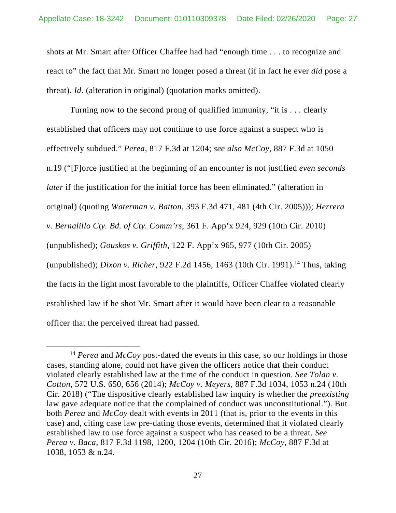shots at Mr. Smart after Officer Chaffee had had "enough time . . . to recognize and react to" the fact that Mr. Smart no longer posed a threat (if in fact he ever *did* pose a threat). *Id.* (alteration in original) (quotation marks omitted).

Turning now to the second prong of qualified immunity, "it is . . . clearly established that officers may not continue to use force against a suspect who is effectively subdued." *Perea*, 817 F.3d at 1204; *see also McCoy*, 887 F.3d at 1050 n.19 ("[F]orce justified at the beginning of an encounter is not justified *even seconds later* if the justification for the initial force has been eliminated." (alteration in original) (quoting *Waterman v. Batton*, 393 F.3d 471, 481 (4th Cir. 2005))); *Herrera v. Bernalillo Cty. Bd. of Cty. Comm'rs*, 361 F. App'x 924, 929 (10th Cir. 2010) (unpublished); *Gouskos v. Griffith*, 122 F. App'x 965, 977 (10th Cir. 2005) (unpublished); *Dixon v. Richer*, 922 F.2d 1456, 1463 (10th Cir. 1991).<sup>14</sup> Thus, taking the facts in the light most favorable to the plaintiffs, Officer Chaffee violated clearly established law if he shot Mr. Smart after it would have been clear to a reasonable officer that the perceived threat had passed.

 <sup>14</sup> *Perea* and *McCoy* post-dated the events in this case, so our holdings in those cases, standing alone, could not have given the officers notice that their conduct violated clearly established law at the time of the conduct in question. *See Tolan v. Cotton*, 572 U.S. 650, 656 (2014); *McCoy v. Meyers*, 887 F.3d 1034, 1053 n.24 (10th Cir. 2018) ("The dispositive clearly established law inquiry is whether the *preexisting* law gave adequate notice that the complained of conduct was unconstitutional."). But both *Perea* and *McCoy* dealt with events in 2011 (that is, prior to the events in this case) and, citing case law pre-dating those events, determined that it violated clearly established law to use force against a suspect who has ceased to be a threat. *See Perea v. Baca*, 817 F.3d 1198, 1200, 1204 (10th Cir. 2016); *McCoy*, 887 F.3d at 1038, 1053 & n.24.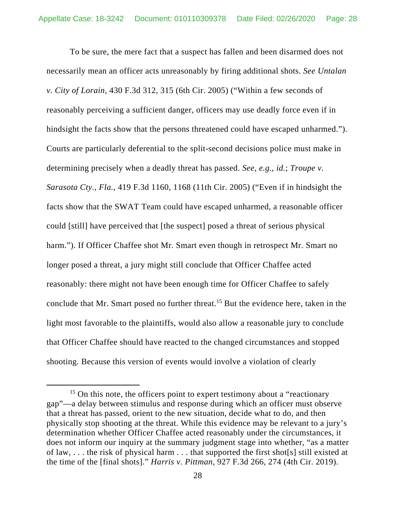To be sure, the mere fact that a suspect has fallen and been disarmed does not necessarily mean an officer acts unreasonably by firing additional shots. *See Untalan v. City of Lorain*, 430 F.3d 312, 315 (6th Cir. 2005) ("Within a few seconds of reasonably perceiving a sufficient danger, officers may use deadly force even if in hindsight the facts show that the persons threatened could have escaped unharmed."). Courts are particularly deferential to the split-second decisions police must make in determining precisely when a deadly threat has passed. *See, e.g.*, *id.*; *Troupe v. Sarasota Cty., Fla.*, 419 F.3d 1160, 1168 (11th Cir. 2005) ("Even if in hindsight the facts show that the SWAT Team could have escaped unharmed, a reasonable officer could [still] have perceived that [the suspect] posed a threat of serious physical harm."). If Officer Chaffee shot Mr. Smart even though in retrospect Mr. Smart no longer posed a threat, a jury might still conclude that Officer Chaffee acted reasonably: there might not have been enough time for Officer Chaffee to safely conclude that Mr. Smart posed no further threat.15 But the evidence here, taken in the light most favorable to the plaintiffs, would also allow a reasonable jury to conclude that Officer Chaffee should have reacted to the changed circumstances and stopped shooting. Because this version of events would involve a violation of clearly

 $15$  On this note, the officers point to expert testimony about a "reactionary" gap"—a delay between stimulus and response during which an officer must observe that a threat has passed, orient to the new situation, decide what to do, and then physically stop shooting at the threat. While this evidence may be relevant to a jury's determination whether Officer Chaffee acted reasonably under the circumstances, it does not inform our inquiry at the summary judgment stage into whether, "as a matter of law, . . . the risk of physical harm . . . that supported the first shot[s] still existed at the time of the [final shots]." *Harris v. Pittman*, 927 F.3d 266, 274 (4th Cir. 2019).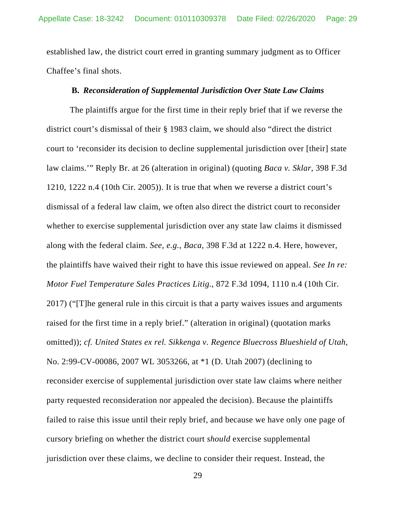established law, the district court erred in granting summary judgment as to Officer Chaffee's final shots.

### **B.** *Reconsideration of Supplemental Jurisdiction Over State Law Claims*

The plaintiffs argue for the first time in their reply brief that if we reverse the district court's dismissal of their § 1983 claim, we should also "direct the district court to 'reconsider its decision to decline supplemental jurisdiction over [their] state law claims.'" Reply Br. at 26 (alteration in original) (quoting *Baca v. Sklar*, 398 F.3d 1210, 1222 n.4 (10th Cir. 2005)). It is true that when we reverse a district court's dismissal of a federal law claim, we often also direct the district court to reconsider whether to exercise supplemental jurisdiction over any state law claims it dismissed along with the federal claim. *See, e.g.*, *Baca*, 398 F.3d at 1222 n.4. Here, however, the plaintiffs have waived their right to have this issue reviewed on appeal. *See In re: Motor Fuel Temperature Sales Practices Litig.*, 872 F.3d 1094, 1110 n.4 (10th Cir. 2017) ("[T]he general rule in this circuit is that a party waives issues and arguments raised for the first time in a reply brief." (alteration in original) (quotation marks omitted)); *cf. United States ex rel. Sikkenga v. Regence Bluecross Blueshield of Utah*, No. 2:99-CV-00086, 2007 WL 3053266, at \*1 (D. Utah 2007) (declining to reconsider exercise of supplemental jurisdiction over state law claims where neither party requested reconsideration nor appealed the decision). Because the plaintiffs failed to raise this issue until their reply brief, and because we have only one page of cursory briefing on whether the district court *should* exercise supplemental jurisdiction over these claims, we decline to consider their request. Instead, the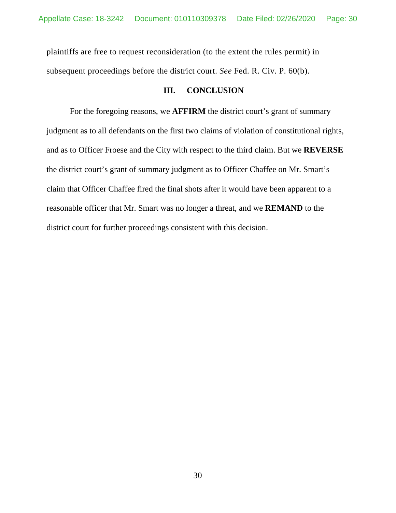plaintiffs are free to request reconsideration (to the extent the rules permit) in subsequent proceedings before the district court. *See* Fed. R. Civ. P. 60(b).

## **III. CONCLUSION**

For the foregoing reasons, we **AFFIRM** the district court's grant of summary judgment as to all defendants on the first two claims of violation of constitutional rights, and as to Officer Froese and the City with respect to the third claim. But we **REVERSE** the district court's grant of summary judgment as to Officer Chaffee on Mr. Smart's claim that Officer Chaffee fired the final shots after it would have been apparent to a reasonable officer that Mr. Smart was no longer a threat, and we **REMAND** to the district court for further proceedings consistent with this decision.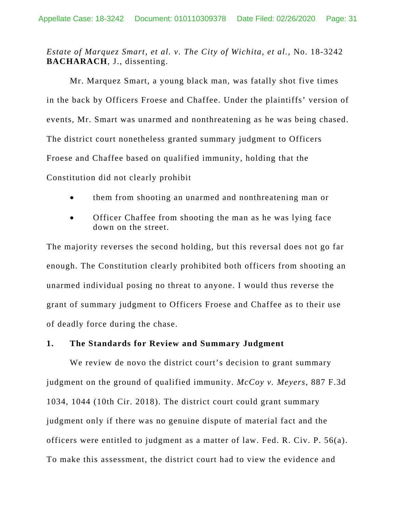## *Estate of Marquez Smart, et al. v. The City of Wichita, et al.*, No. 18-3242 **BACHARACH**, J., dissenting.

 Mr. Marquez Smart, a young black man, was fatally shot five times in the back by Officers Froese and Chaffee. Under the plaintiffs' version of events, Mr. Smart was unarmed and nonthreatening as he was being chased. The district court nonetheless granted summary judgment to Officers Froese and Chaffee based on qualified immunity, holding that the Constitution did not clearly prohibit

- them from shooting an unarmed and nonthreatening man or
- Officer Chaffee from shooting the man as he was lying face down on the street.

The majority reverses the second holding, but this reversal does not go far enough. The Constitution clearly prohibited both officers from shooting an unarmed individual posing no threat to anyone. I would thus reverse the grant of summary judgment to Officers Froese and Chaffee as to their use of deadly force during the chase.

## **1. The Standards for Review and Summary Judgment**

We review de novo the district court's decision to grant summary judgment on the ground of qualified immunity. *McCoy v. Meyers*, 887 F.3d 1034, 1044 (10th Cir. 2018). The district court could grant summary judgment only if there was no genuine dispute of material fact and the officers were entitled to judgment as a matter of law. Fed. R. Civ. P. 56(a). To make this assessment, the district court had to view the evidence and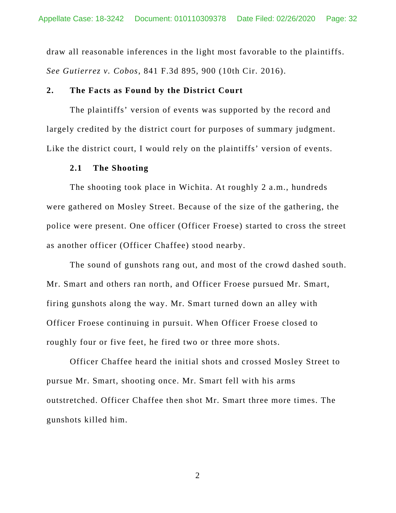draw all reasonable inferences in the light most favorable to the plaintiffs. *See Gutierrez v. Cobos*, 841 F.3d 895, 900 (10th Cir. 2016).

### **2. The Facts as Found by the District Court**

 The plaintiffs' version of events was supported by the record and largely credited by the district court for purposes of summary judgment. Like the district court, I would rely on the plaintiffs' version of events.

### **2.1 The Shooting**

 The shooting took place in Wichita. At roughly 2 a.m., hundreds were gathered on Mosley Street. Because of the size of the gathering, the police were present. One officer (Officer Froese) started to cross the street as another officer (Officer Chaffee) stood nearby.

 The sound of gunshots rang out, and most of the crowd dashed south. Mr. Smart and others ran north, and Officer Froese pursued Mr. Smart, firing gunshots along the way. Mr. Smart turned down an alley with Officer Froese continuing in pursuit. When Officer Froese closed to roughly four or five feet, he fired two or three more shots.

 Officer Chaffee heard the initial shots and crossed Mosley Street to pursue Mr. Smart, shooting once. Mr. Smart fell with his arms outstretched. Officer Chaffee then shot Mr. Smart three more times. The gunshots killed him.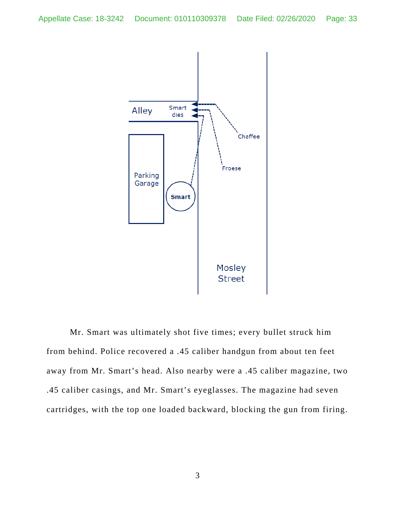

 Mr. Smart was ultimately shot five times; every bullet struck him from behind. Police recovered a .45 caliber handgun from about ten feet away from Mr. Smart's head. Also nearby were a .45 caliber magazine, two .45 caliber casings, and Mr. Smart's eyeglasses. The magazine had seven cartridges, with the top one loaded backward, blocking the gun from firing.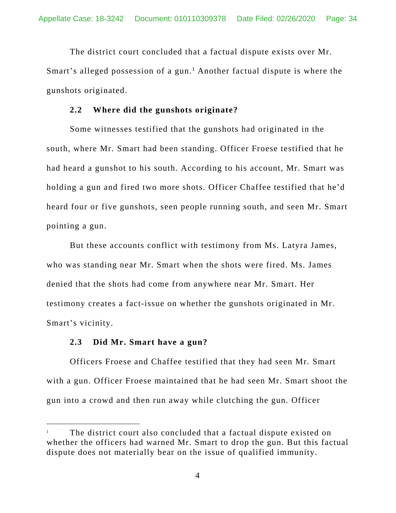The district court concluded that a factual dispute exists over Mr. Smart's alleged possession of a gun.<sup>1</sup> Another factual dispute is where the gunshots originated.

### **2.2 Where did the gunshots originate?**

 Some witnesses testified that the gunshots had originated in the south, where Mr. Smart had been standing. Officer Froese testified that he had heard a gunshot to his south. According to his account, Mr. Smart was holding a gun and fired two more shots. Officer Chaffee testified that he'd heard four or five gunshots, seen people running south, and seen Mr. Smart pointing a gun.

But these accounts conflict with testimony from Ms. Latyra James, who was standing near Mr. Smart when the shots were fired. Ms. James denied that the shots had come from anywhere near Mr. Smart. Her testimony creates a fact-issue on whether the gunshots originated in Mr. Smart's vicinity.

### **2.3 Did Mr. Smart have a gun?**

 $\overline{a}$ 

 Officers Froese and Chaffee testified that they had seen Mr. Smart with a gun. Officer Froese maintained that he had seen Mr. Smart shoot the gun into a crowd and then run away while clutching the gun. Officer

<sup>1</sup> The district court also concluded that a factual dispute existed on whether the officers had warned Mr. Smart to drop the gun. But this factual dispute does not materially bear on the issue of qualified immunity.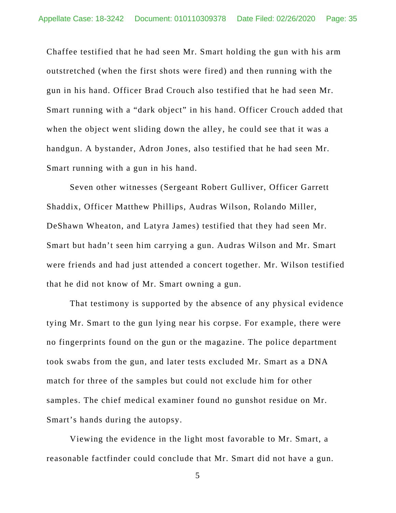Chaffee testified that he had seen Mr. Smart holding the gun with his arm outstretched (when the first shots were fired) and then running with the gun in his hand. Officer Brad Crouch also testified that he had seen Mr. Smart running with a "dark object" in his hand. Officer Crouch added that when the object went sliding down the alley, he could see that it was a handgun. A bystander, Adron Jones, also testified that he had seen Mr. Smart running with a gun in his hand.

 Seven other witnesses (Sergeant Robert Gulliver, Officer Garrett Shaddix, Officer Matthew Phillips, Audras Wilson, Rolando Miller, DeShawn Wheaton, and Latyra James) testified that they had seen Mr. Smart but hadn't seen him carrying a gun. Audras Wilson and Mr. Smart were friends and had just attended a concert together. Mr. Wilson testified that he did not know of Mr. Smart owning a gun.

 That testimony is supported by the absence of any physical evidence tying Mr. Smart to the gun lying near his corpse. For example, there were no fingerprints found on the gun or the magazine. The police department took swabs from the gun, and later tests excluded Mr. Smart as a DNA match for three of the samples but could not exclude him for other samples. The chief medical examiner found no gunshot residue on Mr. Smart's hands during the autopsy.

 Viewing the evidence in the light most favorable to Mr. Smart, a reasonable factfinder could conclude that Mr. Smart did not have a gun.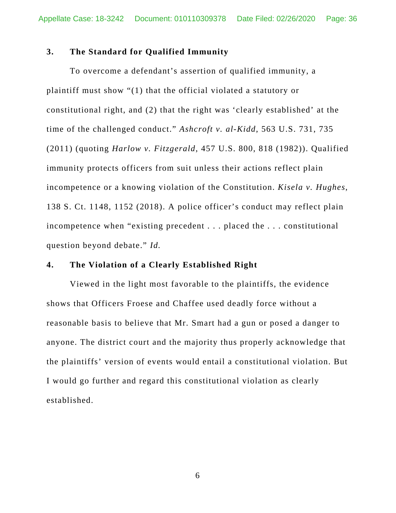## **3. The Standard for Qualified Immunity**

 To overcome a defendant's assertion of qualified immunity, a plaintiff must show "(1) that the official violated a statutory or constitutional right, and (2) that the right was 'clearly established' at the time of the challenged conduct." *Ashcroft v. al-Kidd*, 563 U.S. 731, 735 (2011) (quoting *Harlow v. Fitzgerald*, 457 U.S. 800, 818 (1982)). Qualified immunity protects officers from suit unless their actions reflect plain incompetence or a knowing violation of the Constitution. *Kisela v. Hughes*, 138 S. Ct. 1148, 1152 (2018). A police officer's conduct may reflect plain incompetence when "existing precedent . . . placed the . . . constitutional question beyond debate." *Id.*

## **4. The Violation of a Clearly Established Right**

 Viewed in the light most favorable to the plaintiffs, the evidence shows that Officers Froese and Chaffee used deadly force without a reasonable basis to believe that Mr. Smart had a gun or posed a danger to anyone. The district court and the majority thus properly acknowledge that the plaintiffs' version of events would entail a constitutional violation. But I would go further and regard this constitutional violation as clearly established.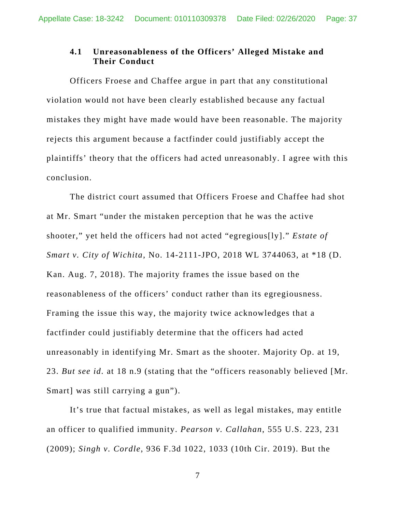## **4.1 Unreasonableness of the Officers' Alleged Mistake and Their Conduct**

 Officers Froese and Chaffee argue in part that any constitutional violation would not have been clearly established because any factual mistakes they might have made would have been reasonable. The majority rejects this argument because a factfinder could justifiably accept the plaintiffs' theory that the officers had acted unreasonably. I agree with this conclusion.

The district court assumed that Officers Froese and Chaffee had shot at Mr. Smart "under the mistaken perception that he was the active shooter," yet held the officers had not acted "egregious[ly]." *Estate of Smart v. City of Wichita*, No. 14-2111-JPO, 2018 WL 3744063, at \*18 (D. Kan. Aug. 7, 2018). The majority frames the issue based on the reasonableness of the officers' conduct rather than its egregiousness. Framing the issue this way, the majority twice acknowledges that a factfinder could justifiably determine that the officers had acted unreasonably in identifying Mr. Smart as the shooter. Majority Op. at 19, 23. *But see id.* at 18 n.9 (stating that the "officers reasonably believed [Mr. Smart] was still carrying a gun").

 It's true that factual mistakes, as well as legal mistakes, may entitle an officer to qualified immunity. *Pearson v. Callahan*, 555 U.S. 223, 231 (2009); *Singh v. Cordle*, 936 F.3d 1022, 1033 (10th Cir. 2019). But the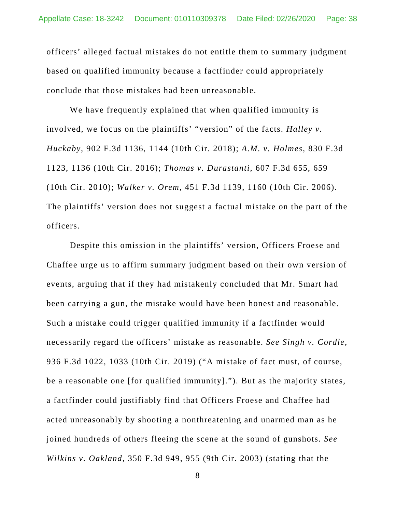officers' alleged factual mistakes do not entitle them to summary judgment based on qualified immunity because a factfinder could appropriately conclude that those mistakes had been unreasonable.

We have frequently explained that when qualified immunity is involved, we focus on the plaintiffs' "version" of the facts. *Halley v. Huckaby*, 902 F.3d 1136, 1144 (10th Cir. 2018); *A.M. v. Holmes*, 830 F.3d 1123, 1136 (10th Cir. 2016); *Thomas v. Durastanti*, 607 F.3d 655, 659 (10th Cir. 2010); *Walker v. Orem*, 451 F.3d 1139, 1160 (10th Cir. 2006). The plaintiffs' version does not suggest a factual mistake on the part of the officers.

Despite this omission in the plaintiffs' version, Officers Froese and Chaffee urge us to affirm summary judgment based on their own version of events, arguing that if they had mistakenly concluded that Mr. Smart had been carrying a gun, the mistake would have been honest and reasonable. Such a mistake could trigger qualified immunity if a factfinder would necessarily regard the officers' mistake as reasonable. *See Singh v. Cordle*, 936 F.3d 1022, 1033 (10th Cir. 2019) ("A mistake of fact must, of course, be a reasonable one [for qualified immunity]."). But as the majority states, a factfinder could justifiably find that Officers Froese and Chaffee had acted unreasonably by shooting a nonthreatening and unarmed man as he joined hundreds of others fleeing the scene at the sound of gunshots. *See Wilkins v. Oakland*, 350 F.3d 949, 955 (9th Cir. 2003) (stating that the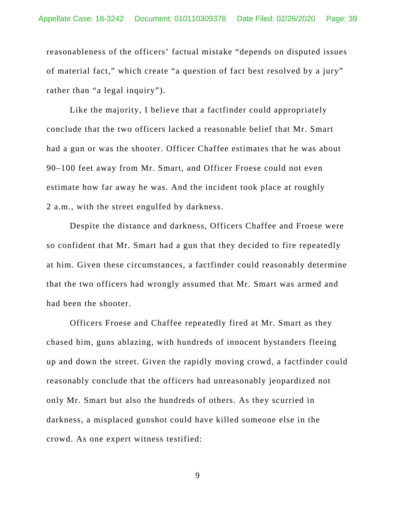reasonableness of the officers' factual mistake "depends on disputed issues of material fact," which create "a question of fact best resolved by a jury" rather than "a legal inquiry").

 Like the majority, I believe that a factfinder could appropriately conclude that the two officers lacked a reasonable belief that Mr. Smart had a gun or was the shooter. Officer Chaffee estimates that he was about 90–100 feet away from Mr. Smart, and Officer Froese could not even estimate how far away he was. And the incident took place at roughly 2 a.m., with the street engulfed by darkness.

Despite the distance and darkness, Officers Chaffee and Froese were so confident that Mr. Smart had a gun that they decided to fire repeatedly at him. Given these circumstances, a factfinder could reasonably determine that the two officers had wrongly assumed that Mr. Smart was armed and had been the shooter.

Officers Froese and Chaffee repeatedly fired at Mr. Smart as they chased him, guns ablazing, with hundreds of innocent bystanders fleeing up and down the street. Given the rapidly moving crowd, a factfinder could reasonably conclude that the officers had unreasonably jeopardized not only Mr. Smart but also the hundreds of others. As they scurried in darkness, a misplaced gunshot could have killed someone else in the crowd. As one expert witness testified: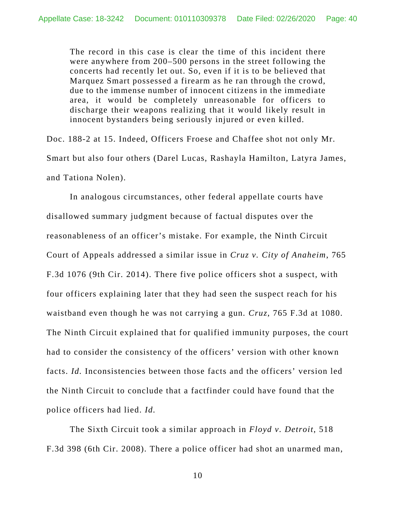The record in this case is clear the time of this incident there were anywhere from 200–500 persons in the street following the concerts had recently let out. So, even if it is to be believed that Marquez Smart possessed a firearm as he ran through the crowd, due to the immense number of innocent citizens in the immediate area, it would be completely unreasonable for officers to discharge their weapons realizing that it would likely result in innocent bystanders being seriously injured or even killed.

Doc. 188-2 at 15. Indeed, Officers Froese and Chaffee shot not only Mr. Smart but also four others (Darel Lucas, Rashayla Hamilton, Latyra James, and Tationa Nolen).

 In analogous circumstances, other federal appellate courts have disallowed summary judgment because of factual disputes over the reasonableness of an officer's mistake. For example, the Ninth Circuit Court of Appeals addressed a similar issue in *Cruz v. City of Anaheim*, 765 F.3d 1076 (9th Cir. 2014). There five police officers shot a suspect, with four officers explaining later that they had seen the suspect reach for his waistband even though he was not carrying a gun*. Cruz*, 765 F.3d at 1080. The Ninth Circuit explained that for qualified immunity purposes, the court had to consider the consistency of the officers' version with other known facts. *Id.* Inconsistencies between those facts and the officers' version led the Ninth Circuit to conclude that a factfinder could have found that the police officers had lied. *Id.* 

 The Sixth Circuit took a similar approach in *Floyd v. Detroit*, 518 F.3d 398 (6th Cir. 2008). There a police officer had shot an unarmed man,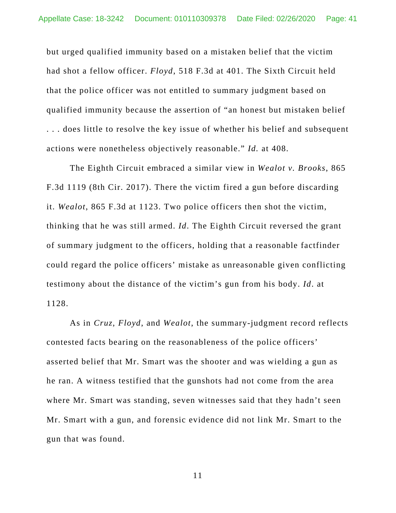but urged qualified immunity based on a mistaken belief that the victim had shot a fellow officer. *Floyd*, 518 F.3d at 401. The Sixth Circuit held that the police officer was not entitled to summary judgment based on qualified immunity because the assertion of "an honest but mistaken belief . . . does little to resolve the key issue of whether his belief and subsequent actions were nonetheless objectively reasonable." *Id.* at 408.

The Eighth Circuit embraced a similar view in *Wealot v. Brooks*, 865 F.3d 1119 (8th Cir. 2017). There the victim fired a gun before discarding it. *Wealot*, 865 F.3d at 1123. Two police officers then shot the victim, thinking that he was still armed. *Id*. The Eighth Circuit reversed the grant of summary judgment to the officers, holding that a reasonable factfinder could regard the police officers' mistake as unreasonable given conflicting testimony about the distance of the victim's gun from his body. *Id*. at 1128.

As in *Cruz*, *Floyd*, and *Wealot*, the summary-judgment record reflects contested facts bearing on the reasonableness of the police officers' asserted belief that Mr. Smart was the shooter and was wielding a gun as he ran. A witness testified that the gunshots had not come from the area where Mr. Smart was standing, seven witnesses said that they hadn't seen Mr. Smart with a gun, and forensic evidence did not link Mr. Smart to the gun that was found.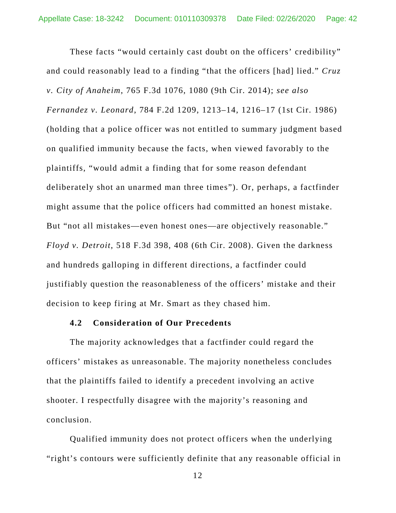These facts "would certainly cast doubt on the officers' credibility" and could reasonably lead to a finding "that the officers [had] lied." *Cruz v. City of Anaheim*, 765 F.3d 1076, 1080 (9th Cir. 2014); *see also Fernandez v. Leonard*, 784 F.2d 1209, 1213–14, 1216–17 (1st Cir. 1986) (holding that a police officer was not entitled to summary judgment based on qualified immunity because the facts, when viewed favorably to the plaintiffs, "would admit a finding that for some reason defendant deliberately shot an unarmed man three times"). Or, perhaps, a factfinder might assume that the police officers had committed an honest mistake. But "not all mistakes—even honest ones—are objectively reasonable." *Floyd v. Detroit*, 518 F.3d 398, 408 (6th Cir. 2008). Given the darkness and hundreds galloping in different directions, a factfinder could justifiably question the reasonableness of the officers' mistake and their decision to keep firing at Mr. Smart as they chased him.

### **4.2 Consideration of Our Precedents**

 The majority acknowledges that a factfinder could regard the officers' mistakes as unreasonable. The majority nonetheless concludes that the plaintiffs failed to identify a precedent involving an active shooter. I respectfully disagree with the majority's reasoning and conclusion.

Qualified immunity does not protect officers when the underlying "right's contours were sufficiently definite that any reasonable official in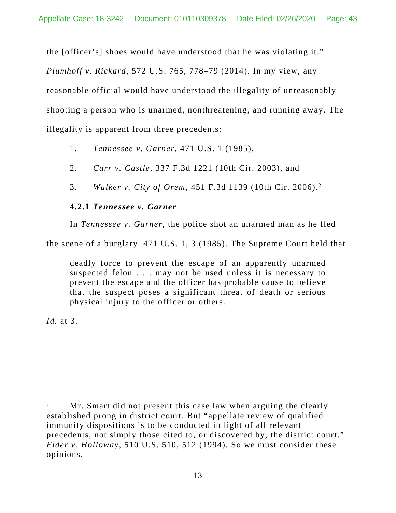the [officer's] shoes would have understood that he was violating it."

*Plumhoff v. Rickard*, 572 U.S. 765, 778–79 (2014). In my view, any reasonable official would have understood the illegality of unreasonably shooting a person who is unarmed, nonthreatening, and running away. The illegality is apparent from three precedents:

- 1. *Tennessee v. Garner*, 471 U.S. 1 (1985),
- 2. *Carr v. Castle*, 337 F.3d 1221 (10th Cir. 2003), and
- 3. *Walker v. City of Orem*, 451 F.3d 1139 (10th Cir. 2006).2

# **4.2.1** *Tennessee v. Garner*

In *Tennessee v. Garner*, the police shot an unarmed man as he fled

the scene of a burglary. 471 U.S. 1, 3 (1985). The Supreme Court held that

deadly force to prevent the escape of an apparently unarmed suspected felon . . . may not be used unless it is necessary to prevent the escape and the officer has probable cause to believe that the suspect poses a significant threat of death or serious physical injury to the officer or others.

*Id.* at 3.

 2 Mr. Smart did not present this case law when arguing the clearly established prong in district court. But "appellate review of qualified immunity dispositions is to be conducted in light of all relevant precedents, not simply those cited to, or discovered by, the district court." *Elder v. Holloway*, 510 U.S. 510, 512 (1994). So we must consider these opinions.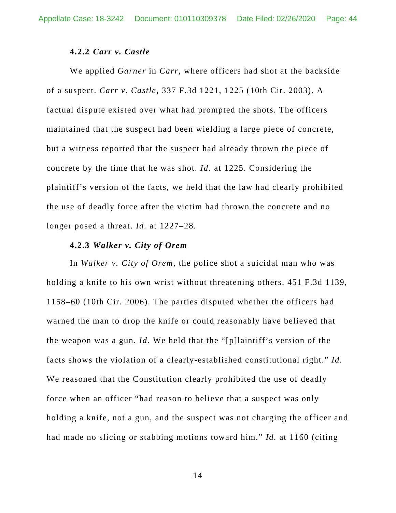### **4.2.2** *Carr v. Castle*

 We applied *Garner* in *Carr*, where officers had shot at the backside of a suspect. *Carr v. Castle*, 337 F.3d 1221, 1225 (10th Cir. 2003). A factual dispute existed over what had prompted the shots. The officers maintained that the suspect had been wielding a large piece of concrete, but a witness reported that the suspect had already thrown the piece of concrete by the time that he was shot. *Id.* at 1225. Considering the plaintiff's version of the facts, we held that the law had clearly prohibited the use of deadly force after the victim had thrown the concrete and no longer posed a threat. *Id.* at 1227–28.

#### **4.2.3** *Walker v. City of Orem*

 In *Walker v. City of Orem*, the police shot a suicidal man who was holding a knife to his own wrist without threatening others. 451 F.3d 1139, 1158–60 (10th Cir. 2006). The parties disputed whether the officers had warned the man to drop the knife or could reasonably have believed that the weapon was a gun. *Id.* We held that the "[p]laintiff's version of the facts shows the violation of a clearly-established constitutional right." *Id.* We reasoned that the Constitution clearly prohibited the use of deadly force when an officer "had reason to believe that a suspect was only holding a knife, not a gun, and the suspect was not charging the officer and had made no slicing or stabbing motions toward him." *Id.* at 1160 (citing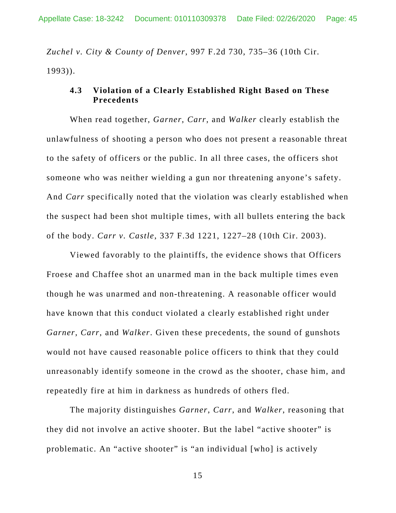*Zuchel v. City & County of Denver*, 997 F.2d 730, 735–36 (10th Cir. 1993)).

# **4.3 Violation of a Clearly Established Right Based on These Precedents**

 When read together, *Garner*, *Carr*, and *Walker* clearly establish the unlawfulness of shooting a person who does not present a reasonable threat to the safety of officers or the public. In all three cases, the officers shot someone who was neither wielding a gun nor threatening anyone's safety. And *Carr* specifically noted that the violation was clearly established when the suspect had been shot multiple times, with all bullets entering the back of the body. *Carr v. Castle*, 337 F.3d 1221, 1227–28 (10th Cir. 2003).

 Viewed favorably to the plaintiffs, the evidence shows that Officers Froese and Chaffee shot an unarmed man in the back multiple times even though he was unarmed and non-threatening. A reasonable officer would have known that this conduct violated a clearly established right under *Garner*, *Carr*, and *Walker*. Given these precedents, the sound of gunshots would not have caused reasonable police officers to think that they could unreasonably identify someone in the crowd as the shooter, chase him, and repeatedly fire at him in darkness as hundreds of others fled.

The majority distinguishes *Garner*, *Carr*, and *Walker*, reasoning that they did not involve an active shooter. But the label "active shooter" is problematic. An "active shooter" is "an individual [who] is actively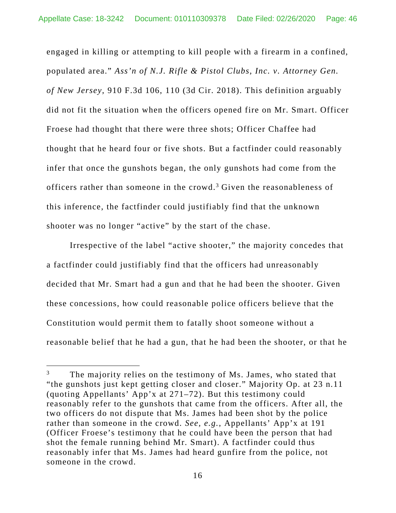engaged in killing or attempting to kill people with a firearm in a confined, populated area." *Ass'n of N.J. Rifle & Pistol Clubs, Inc. v. Attorney Gen. of New Jersey*, 910 F.3d 106, 110 (3d Cir. 2018). This definition arguably did not fit the situation when the officers opened fire on Mr. Smart. Officer Froese had thought that there were three shots; Officer Chaffee had thought that he heard four or five shots. But a factfinder could reasonably infer that once the gunshots began, the only gunshots had come from the officers rather than someone in the crowd.<sup>3</sup> Given the reasonableness of this inference, the factfinder could justifiably find that the unknown shooter was no longer "active" by the start of the chase.

 Irrespective of the label "active shooter," the majority concedes that a factfinder could justifiably find that the officers had unreasonably decided that Mr. Smart had a gun and that he had been the shooter. Given these concessions, how could reasonable police officers believe that the Constitution would permit them to fatally shoot someone without a reasonable belief that he had a gun, that he had been the shooter, or that he

 $\overline{a}$ 

<sup>3</sup> The majority relies on the testimony of Ms. James, who stated that "the gunshots just kept getting closer and closer." Majority Op. at 23 n.11 (quoting Appellants' App'x at 271–72). But this testimony could reasonably refer to the gunshots that came from the officers. After all, the two officers do not dispute that Ms. James had been shot by the police rather than someone in the crowd. *See, e.g.*, Appellants' App'x at 191 (Officer Froese's testimony that he could have been the person that had shot the female running behind Mr. Smart). A factfinder could thus reasonably infer that Ms. James had heard gunfire from the police, not someone in the crowd.